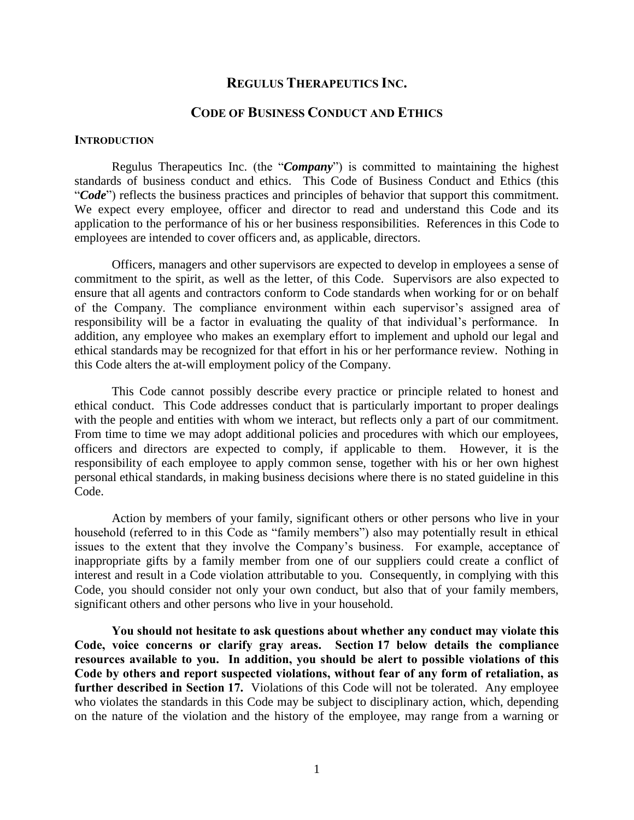## **REGULUS THERAPEUTICS INC.**

## **CODE OF BUSINESS CONDUCT AND ETHICS**

#### **INTRODUCTION**

Regulus Therapeutics Inc. (the "*Company*") is committed to maintaining the highest standards of business conduct and ethics. This Code of Business Conduct and Ethics (this "*Code*") reflects the business practices and principles of behavior that support this commitment. We expect every employee, officer and director to read and understand this Code and its application to the performance of his or her business responsibilities. References in this Code to employees are intended to cover officers and, as applicable, directors.

Officers, managers and other supervisors are expected to develop in employees a sense of commitment to the spirit, as well as the letter, of this Code. Supervisors are also expected to ensure that all agents and contractors conform to Code standards when working for or on behalf of the Company. The compliance environment within each supervisor's assigned area of responsibility will be a factor in evaluating the quality of that individual's performance. In addition, any employee who makes an exemplary effort to implement and uphold our legal and ethical standards may be recognized for that effort in his or her performance review. Nothing in this Code alters the at-will employment policy of the Company.

This Code cannot possibly describe every practice or principle related to honest and ethical conduct. This Code addresses conduct that is particularly important to proper dealings with the people and entities with whom we interact, but reflects only a part of our commitment. From time to time we may adopt additional policies and procedures with which our employees, officers and directors are expected to comply, if applicable to them. However, it is the responsibility of each employee to apply common sense, together with his or her own highest personal ethical standards, in making business decisions where there is no stated guideline in this Code.

Action by members of your family, significant others or other persons who live in your household (referred to in this Code as "family members") also may potentially result in ethical issues to the extent that they involve the Company's business. For example, acceptance of inappropriate gifts by a family member from one of our suppliers could create a conflict of interest and result in a Code violation attributable to you. Consequently, in complying with this Code, you should consider not only your own conduct, but also that of your family members, significant others and other persons who live in your household.

**You should not hesitate to ask questions about whether any conduct may violate this Code, voice concerns or clarify gray areas. Section 17 below details the compliance resources available to you. In addition, you should be alert to possible violations of this Code by others and report suspected violations, without fear of any form of retaliation, as further described in Section 17.** Violations of this Code will not be tolerated. Any employee who violates the standards in this Code may be subject to disciplinary action, which, depending on the nature of the violation and the history of the employee, may range from a warning or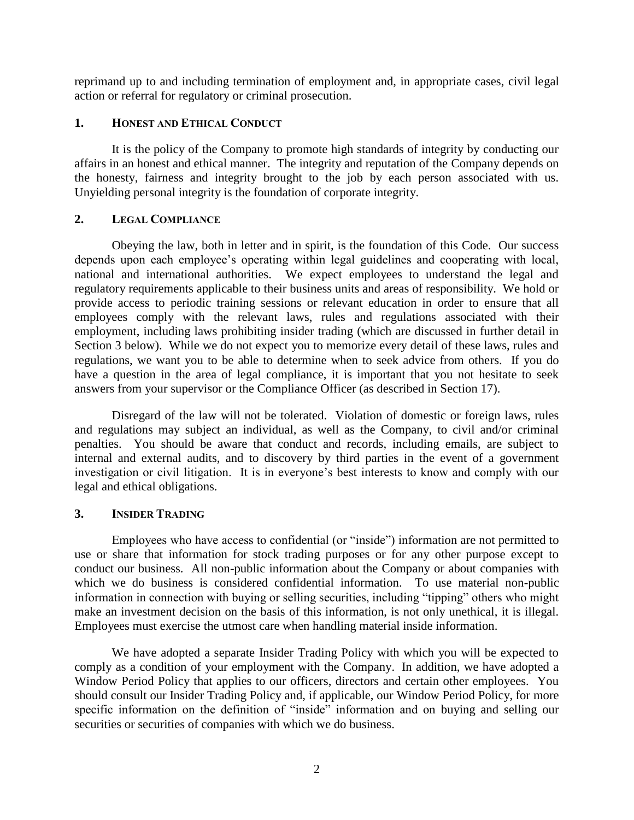reprimand up to and including termination of employment and, in appropriate cases, civil legal action or referral for regulatory or criminal prosecution.

## **1. HONEST AND ETHICAL CONDUCT**

It is the policy of the Company to promote high standards of integrity by conducting our affairs in an honest and ethical manner. The integrity and reputation of the Company depends on the honesty, fairness and integrity brought to the job by each person associated with us. Unyielding personal integrity is the foundation of corporate integrity.

## **2. LEGAL COMPLIANCE**

Obeying the law, both in letter and in spirit, is the foundation of this Code. Our success depends upon each employee's operating within legal guidelines and cooperating with local, national and international authorities. We expect employees to understand the legal and regulatory requirements applicable to their business units and areas of responsibility. We hold or provide access to periodic training sessions or relevant education in order to ensure that all employees comply with the relevant laws, rules and regulations associated with their employment, including laws prohibiting insider trading (which are discussed in further detail in Section 3 below). While we do not expect you to memorize every detail of these laws, rules and regulations, we want you to be able to determine when to seek advice from others. If you do have a question in the area of legal compliance, it is important that you not hesitate to seek answers from your supervisor or the Compliance Officer (as described in Section 17).

Disregard of the law will not be tolerated. Violation of domestic or foreign laws, rules and regulations may subject an individual, as well as the Company, to civil and/or criminal penalties. You should be aware that conduct and records, including emails, are subject to internal and external audits, and to discovery by third parties in the event of a government investigation or civil litigation. It is in everyone's best interests to know and comply with our legal and ethical obligations.

# **3. INSIDER TRADING**

Employees who have access to confidential (or "inside") information are not permitted to use or share that information for stock trading purposes or for any other purpose except to conduct our business. All non-public information about the Company or about companies with which we do business is considered confidential information. To use material non-public information in connection with buying or selling securities, including "tipping" others who might make an investment decision on the basis of this information, is not only unethical, it is illegal. Employees must exercise the utmost care when handling material inside information.

We have adopted a separate Insider Trading Policy with which you will be expected to comply as a condition of your employment with the Company. In addition, we have adopted a Window Period Policy that applies to our officers, directors and certain other employees. You should consult our Insider Trading Policy and, if applicable, our Window Period Policy, for more specific information on the definition of "inside" information and on buying and selling our securities or securities of companies with which we do business.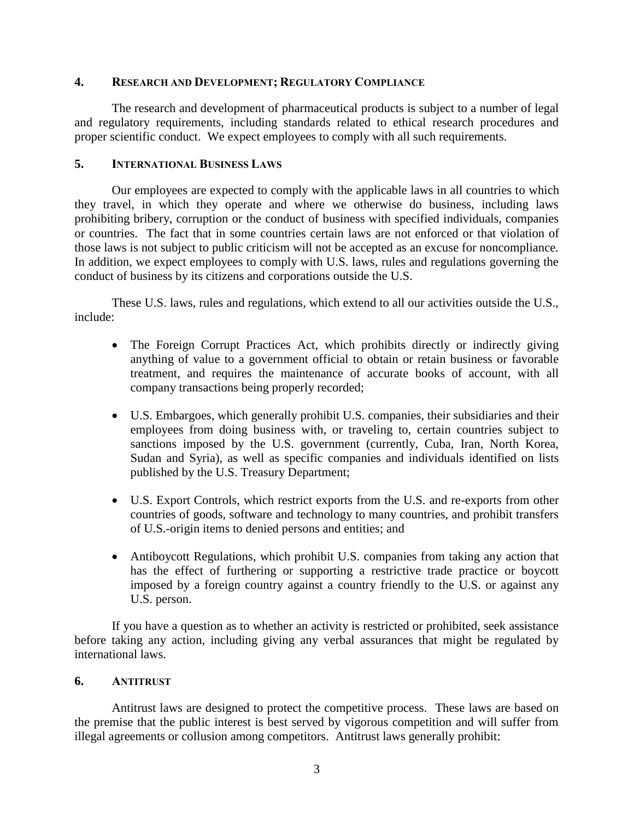## **4. RESEARCH AND DEVELOPMENT; REGULATORY COMPLIANCE**

The research and development of pharmaceutical products is subject to a number of legal and regulatory requirements, including standards related to ethical research procedures and proper scientific conduct. We expect employees to comply with all such requirements.

## **5. INTERNATIONAL BUSINESS LAWS**

Our employees are expected to comply with the applicable laws in all countries to which they travel, in which they operate and where we otherwise do business, including laws prohibiting bribery, corruption or the conduct of business with specified individuals, companies or countries. The fact that in some countries certain laws are not enforced or that violation of those laws is not subject to public criticism will not be accepted as an excuse for noncompliance. In addition, we expect employees to comply with U.S. laws, rules and regulations governing the conduct of business by its citizens and corporations outside the U.S.

These U.S. laws, rules and regulations, which extend to all our activities outside the U.S., include:

- The Foreign Corrupt Practices Act, which prohibits directly or indirectly giving anything of value to a government official to obtain or retain business or favorable treatment, and requires the maintenance of accurate books of account, with all company transactions being properly recorded;
- U.S. Embargoes, which generally prohibit U.S. companies, their subsidiaries and their employees from doing business with, or traveling to, certain countries subject to sanctions imposed by the U.S. government (currently, Cuba, Iran, North Korea, Sudan and Syria), as well as specific companies and individuals identified on lists published by the U.S. Treasury Department;
- U.S. Export Controls, which restrict exports from the U.S. and re-exports from other countries of goods, software and technology to many countries, and prohibit transfers of U.S.-origin items to denied persons and entities; and
- Antiboycott Regulations, which prohibit U.S. companies from taking any action that has the effect of furthering or supporting a restrictive trade practice or boycott imposed by a foreign country against a country friendly to the U.S. or against any U.S. person.

If you have a question as to whether an activity is restricted or prohibited, seek assistance before taking any action, including giving any verbal assurances that might be regulated by international laws.

## **6. ANTITRUST**

Antitrust laws are designed to protect the competitive process. These laws are based on the premise that the public interest is best served by vigorous competition and will suffer from illegal agreements or collusion among competitors. Antitrust laws generally prohibit: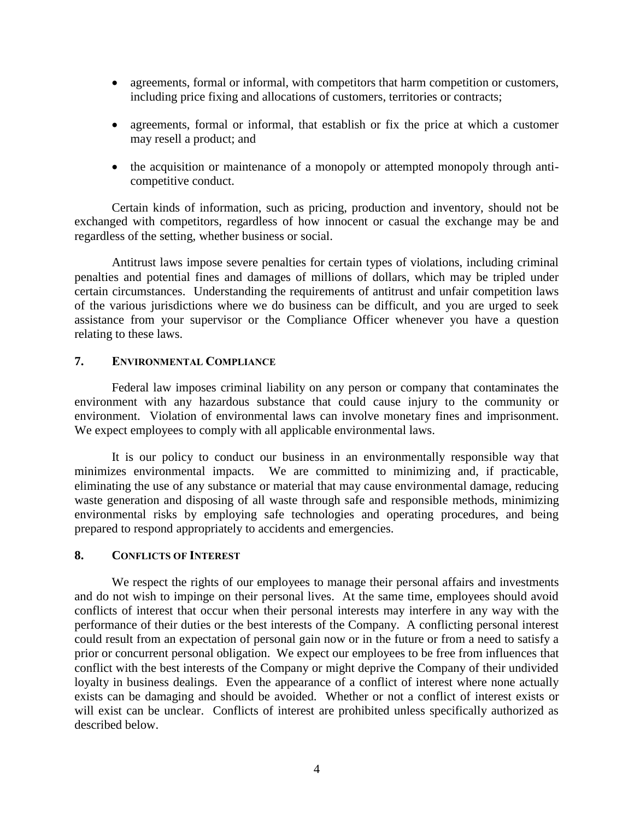- agreements, formal or informal, with competitors that harm competition or customers, including price fixing and allocations of customers, territories or contracts;
- agreements, formal or informal, that establish or fix the price at which a customer may resell a product; and
- the acquisition or maintenance of a monopoly or attempted monopoly through anticompetitive conduct.

Certain kinds of information, such as pricing, production and inventory, should not be exchanged with competitors, regardless of how innocent or casual the exchange may be and regardless of the setting, whether business or social.

Antitrust laws impose severe penalties for certain types of violations, including criminal penalties and potential fines and damages of millions of dollars, which may be tripled under certain circumstances. Understanding the requirements of antitrust and unfair competition laws of the various jurisdictions where we do business can be difficult, and you are urged to seek assistance from your supervisor or the Compliance Officer whenever you have a question relating to these laws.

## **7. ENVIRONMENTAL COMPLIANCE**

Federal law imposes criminal liability on any person or company that contaminates the environment with any hazardous substance that could cause injury to the community or environment. Violation of environmental laws can involve monetary fines and imprisonment. We expect employees to comply with all applicable environmental laws.

It is our policy to conduct our business in an environmentally responsible way that minimizes environmental impacts. We are committed to minimizing and, if practicable, eliminating the use of any substance or material that may cause environmental damage, reducing waste generation and disposing of all waste through safe and responsible methods, minimizing environmental risks by employing safe technologies and operating procedures, and being prepared to respond appropriately to accidents and emergencies.

## **8. CONFLICTS OF INTEREST**

We respect the rights of our employees to manage their personal affairs and investments and do not wish to impinge on their personal lives. At the same time, employees should avoid conflicts of interest that occur when their personal interests may interfere in any way with the performance of their duties or the best interests of the Company. A conflicting personal interest could result from an expectation of personal gain now or in the future or from a need to satisfy a prior or concurrent personal obligation. We expect our employees to be free from influences that conflict with the best interests of the Company or might deprive the Company of their undivided loyalty in business dealings. Even the appearance of a conflict of interest where none actually exists can be damaging and should be avoided. Whether or not a conflict of interest exists or will exist can be unclear. Conflicts of interest are prohibited unless specifically authorized as described below.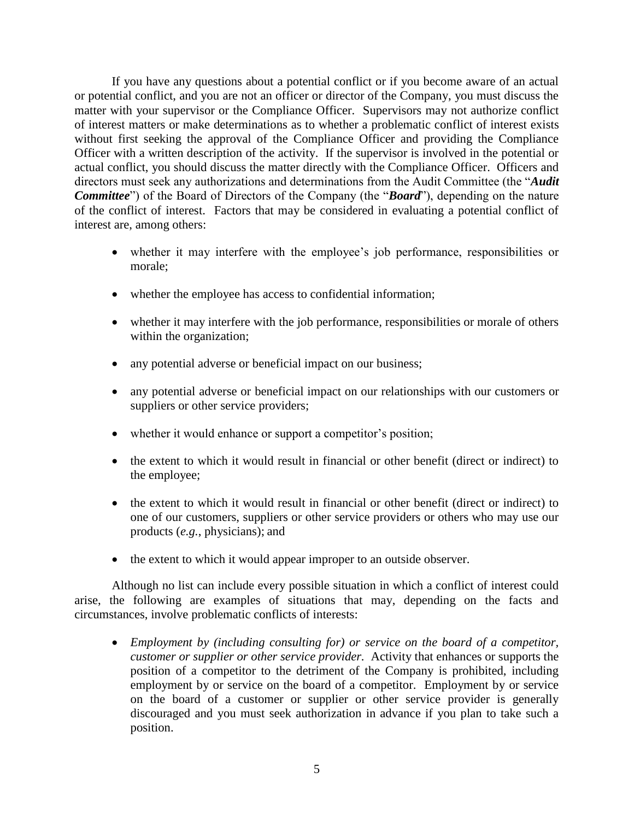If you have any questions about a potential conflict or if you become aware of an actual or potential conflict, and you are not an officer or director of the Company, you must discuss the matter with your supervisor or the Compliance Officer. Supervisors may not authorize conflict of interest matters or make determinations as to whether a problematic conflict of interest exists without first seeking the approval of the Compliance Officer and providing the Compliance Officer with a written description of the activity. If the supervisor is involved in the potential or actual conflict, you should discuss the matter directly with the Compliance Officer. Officers and directors must seek any authorizations and determinations from the Audit Committee (the "*Audit Committee*") of the Board of Directors of the Company (the "*Board*"), depending on the nature of the conflict of interest. Factors that may be considered in evaluating a potential conflict of interest are, among others:

- whether it may interfere with the employee's job performance, responsibilities or morale;
- whether the employee has access to confidential information;
- whether it may interfere with the job performance, responsibilities or morale of others within the organization;
- any potential adverse or beneficial impact on our business;
- any potential adverse or beneficial impact on our relationships with our customers or suppliers or other service providers;
- whether it would enhance or support a competitor's position;
- the extent to which it would result in financial or other benefit (direct or indirect) to the employee;
- the extent to which it would result in financial or other benefit (direct or indirect) to one of our customers, suppliers or other service providers or others who may use our products (*e.g.*, physicians); and
- the extent to which it would appear improper to an outside observer.

Although no list can include every possible situation in which a conflict of interest could arise, the following are examples of situations that may, depending on the facts and circumstances, involve problematic conflicts of interests:

 *Employment by (including consulting for) or service on the board of a competitor, customer or supplier or other service provider.* Activity that enhances or supports the position of a competitor to the detriment of the Company is prohibited, including employment by or service on the board of a competitor. Employment by or service on the board of a customer or supplier or other service provider is generally discouraged and you must seek authorization in advance if you plan to take such a position.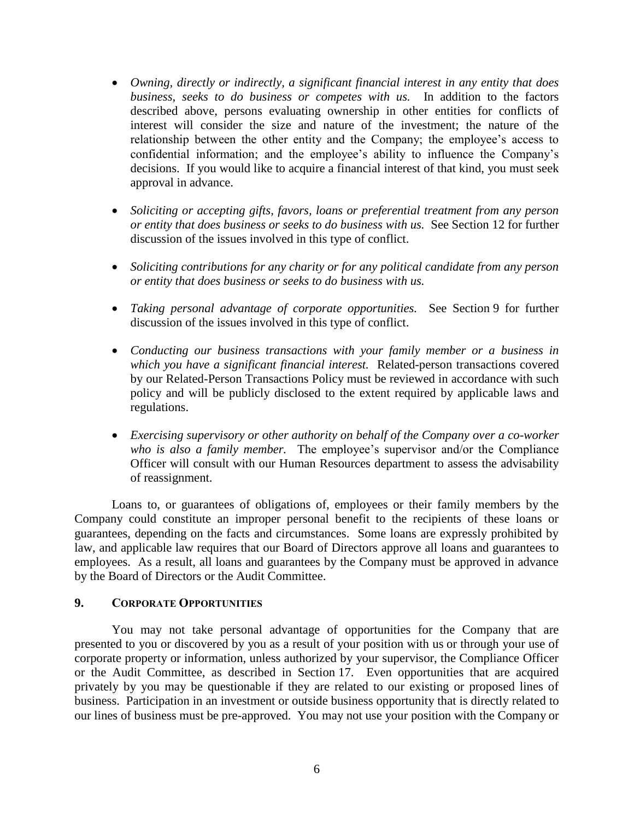- *Owning, directly or indirectly, a significant financial interest in any entity that does business, seeks to do business or competes with us.*In addition to the factors described above, persons evaluating ownership in other entities for conflicts of interest will consider the size and nature of the investment; the nature of the relationship between the other entity and the Company; the employee's access to confidential information; and the employee's ability to influence the Company's decisions. If you would like to acquire a financial interest of that kind, you must seek approval in advance.
- *Soliciting or accepting gifts, favors, loans or preferential treatment from any person or entity that does business or seeks to do business with us.*See Section 12 for further discussion of the issues involved in this type of conflict.
- *Soliciting contributions for any charity or for any political candidate from any person or entity that does business or seeks to do business with us.*
- *Taking personal advantage of corporate opportunities.* See Section 9 for further discussion of the issues involved in this type of conflict.
- *Conducting our business transactions with your family member or a business in which you have a significant financial interest.*Related-person transactions covered by our Related-Person Transactions Policy must be reviewed in accordance with such policy and will be publicly disclosed to the extent required by applicable laws and regulations.
- *Exercising supervisory or other authority on behalf of the Company over a co-worker who is also a family member.* The employee's supervisor and/or the Compliance Officer will consult with our Human Resources department to assess the advisability of reassignment.

Loans to, or guarantees of obligations of, employees or their family members by the Company could constitute an improper personal benefit to the recipients of these loans or guarantees, depending on the facts and circumstances. Some loans are expressly prohibited by law, and applicable law requires that our Board of Directors approve all loans and guarantees to employees. As a result, all loans and guarantees by the Company must be approved in advance by the Board of Directors or the Audit Committee.

#### **9. CORPORATE OPPORTUNITIES**

You may not take personal advantage of opportunities for the Company that are presented to you or discovered by you as a result of your position with us or through your use of corporate property or information, unless authorized by your supervisor, the Compliance Officer or the Audit Committee, as described in Section 17. Even opportunities that are acquired privately by you may be questionable if they are related to our existing or proposed lines of business. Participation in an investment or outside business opportunity that is directly related to our lines of business must be pre-approved. You may not use your position with the Company or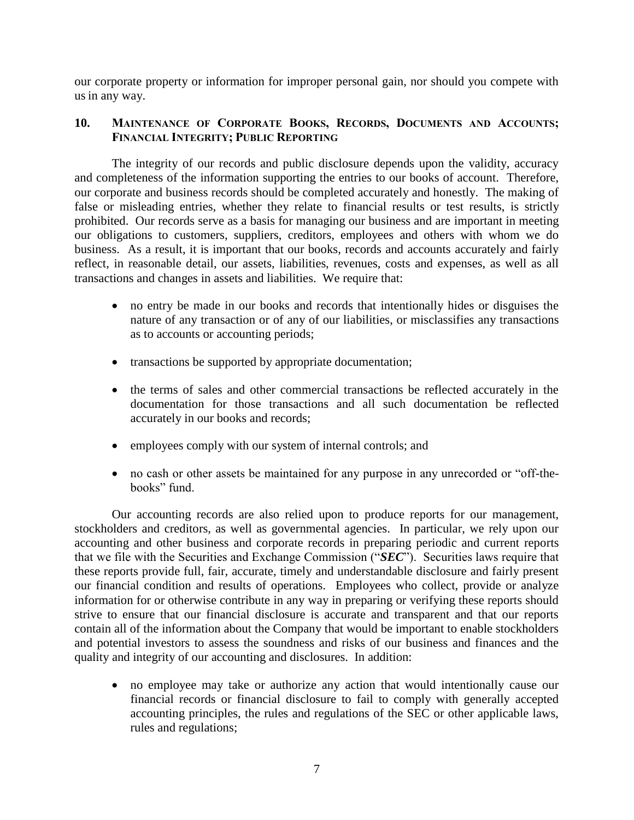our corporate property or information for improper personal gain, nor should you compete with us in any way.

## **10. MAINTENANCE OF CORPORATE BOOKS, RECORDS, DOCUMENTS AND ACCOUNTS; FINANCIAL INTEGRITY; PUBLIC REPORTING**

The integrity of our records and public disclosure depends upon the validity, accuracy and completeness of the information supporting the entries to our books of account. Therefore, our corporate and business records should be completed accurately and honestly. The making of false or misleading entries, whether they relate to financial results or test results, is strictly prohibited. Our records serve as a basis for managing our business and are important in meeting our obligations to customers, suppliers, creditors, employees and others with whom we do business. As a result, it is important that our books, records and accounts accurately and fairly reflect, in reasonable detail, our assets, liabilities, revenues, costs and expenses, as well as all transactions and changes in assets and liabilities. We require that:

- no entry be made in our books and records that intentionally hides or disguises the nature of any transaction or of any of our liabilities, or misclassifies any transactions as to accounts or accounting periods;
- transactions be supported by appropriate documentation;
- the terms of sales and other commercial transactions be reflected accurately in the documentation for those transactions and all such documentation be reflected accurately in our books and records;
- employees comply with our system of internal controls; and
- no cash or other assets be maintained for any purpose in any unrecorded or "off-thebooks" fund.

Our accounting records are also relied upon to produce reports for our management, stockholders and creditors, as well as governmental agencies. In particular, we rely upon our accounting and other business and corporate records in preparing periodic and current reports that we file with the Securities and Exchange Commission ("*SEC*"). Securities laws require that these reports provide full, fair, accurate, timely and understandable disclosure and fairly present our financial condition and results of operations. Employees who collect, provide or analyze information for or otherwise contribute in any way in preparing or verifying these reports should strive to ensure that our financial disclosure is accurate and transparent and that our reports contain all of the information about the Company that would be important to enable stockholders and potential investors to assess the soundness and risks of our business and finances and the quality and integrity of our accounting and disclosures. In addition:

 no employee may take or authorize any action that would intentionally cause our financial records or financial disclosure to fail to comply with generally accepted accounting principles, the rules and regulations of the SEC or other applicable laws, rules and regulations;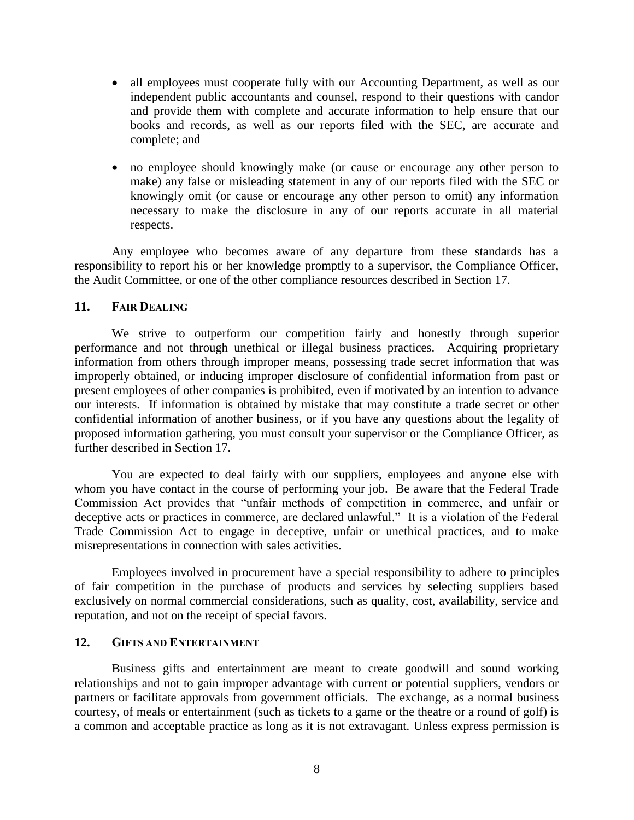- all employees must cooperate fully with our Accounting Department, as well as our independent public accountants and counsel, respond to their questions with candor and provide them with complete and accurate information to help ensure that our books and records, as well as our reports filed with the SEC, are accurate and complete; and
- no employee should knowingly make (or cause or encourage any other person to make) any false or misleading statement in any of our reports filed with the SEC or knowingly omit (or cause or encourage any other person to omit) any information necessary to make the disclosure in any of our reports accurate in all material respects.

Any employee who becomes aware of any departure from these standards has a responsibility to report his or her knowledge promptly to a supervisor, the Compliance Officer, the Audit Committee, or one of the other compliance resources described in Section 17.

## **11. FAIR DEALING**

We strive to outperform our competition fairly and honestly through superior performance and not through unethical or illegal business practices. Acquiring proprietary information from others through improper means, possessing trade secret information that was improperly obtained, or inducing improper disclosure of confidential information from past or present employees of other companies is prohibited, even if motivated by an intention to advance our interests. If information is obtained by mistake that may constitute a trade secret or other confidential information of another business, or if you have any questions about the legality of proposed information gathering, you must consult your supervisor or the Compliance Officer, as further described in Section 17.

You are expected to deal fairly with our suppliers, employees and anyone else with whom you have contact in the course of performing your job. Be aware that the Federal Trade Commission Act provides that "unfair methods of competition in commerce, and unfair or deceptive acts or practices in commerce, are declared unlawful." It is a violation of the Federal Trade Commission Act to engage in deceptive, unfair or unethical practices, and to make misrepresentations in connection with sales activities.

Employees involved in procurement have a special responsibility to adhere to principles of fair competition in the purchase of products and services by selecting suppliers based exclusively on normal commercial considerations, such as quality, cost, availability, service and reputation, and not on the receipt of special favors.

#### **12. GIFTS AND ENTERTAINMENT**

Business gifts and entertainment are meant to create goodwill and sound working relationships and not to gain improper advantage with current or potential suppliers, vendors or partners or facilitate approvals from government officials. The exchange, as a normal business courtesy, of meals or entertainment (such as tickets to a game or the theatre or a round of golf) is a common and acceptable practice as long as it is not extravagant. Unless express permission is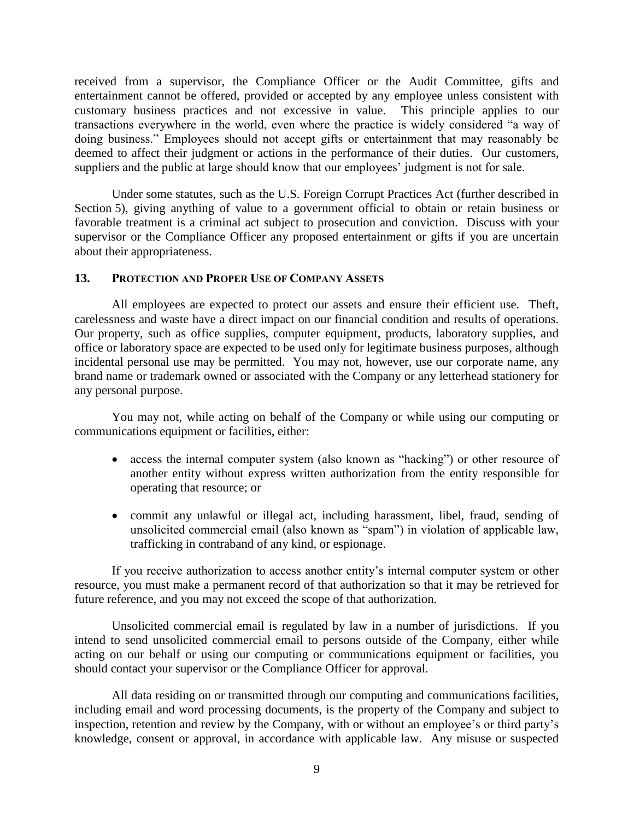received from a supervisor, the Compliance Officer or the Audit Committee, gifts and entertainment cannot be offered, provided or accepted by any employee unless consistent with customary business practices and not excessive in value. This principle applies to our transactions everywhere in the world, even where the practice is widely considered "a way of doing business." Employees should not accept gifts or entertainment that may reasonably be deemed to affect their judgment or actions in the performance of their duties. Our customers, suppliers and the public at large should know that our employees' judgment is not for sale.

Under some statutes, such as the U.S. Foreign Corrupt Practices Act (further described in Section 5), giving anything of value to a government official to obtain or retain business or favorable treatment is a criminal act subject to prosecution and conviction. Discuss with your supervisor or the Compliance Officer any proposed entertainment or gifts if you are uncertain about their appropriateness.

## **13. PROTECTION AND PROPER USE OF COMPANY ASSETS**

All employees are expected to protect our assets and ensure their efficient use. Theft, carelessness and waste have a direct impact on our financial condition and results of operations. Our property, such as office supplies, computer equipment, products, laboratory supplies, and office or laboratory space are expected to be used only for legitimate business purposes, although incidental personal use may be permitted. You may not, however, use our corporate name, any brand name or trademark owned or associated with the Company or any letterhead stationery for any personal purpose.

You may not, while acting on behalf of the Company or while using our computing or communications equipment or facilities, either:

- access the internal computer system (also known as "hacking") or other resource of another entity without express written authorization from the entity responsible for operating that resource; or
- commit any unlawful or illegal act, including harassment, libel, fraud, sending of unsolicited commercial email (also known as "spam") in violation of applicable law, trafficking in contraband of any kind, or espionage.

If you receive authorization to access another entity's internal computer system or other resource, you must make a permanent record of that authorization so that it may be retrieved for future reference, and you may not exceed the scope of that authorization.

Unsolicited commercial email is regulated by law in a number of jurisdictions. If you intend to send unsolicited commercial email to persons outside of the Company, either while acting on our behalf or using our computing or communications equipment or facilities, you should contact your supervisor or the Compliance Officer for approval.

All data residing on or transmitted through our computing and communications facilities, including email and word processing documents, is the property of the Company and subject to inspection, retention and review by the Company, with or without an employee's or third party's knowledge, consent or approval, in accordance with applicable law. Any misuse or suspected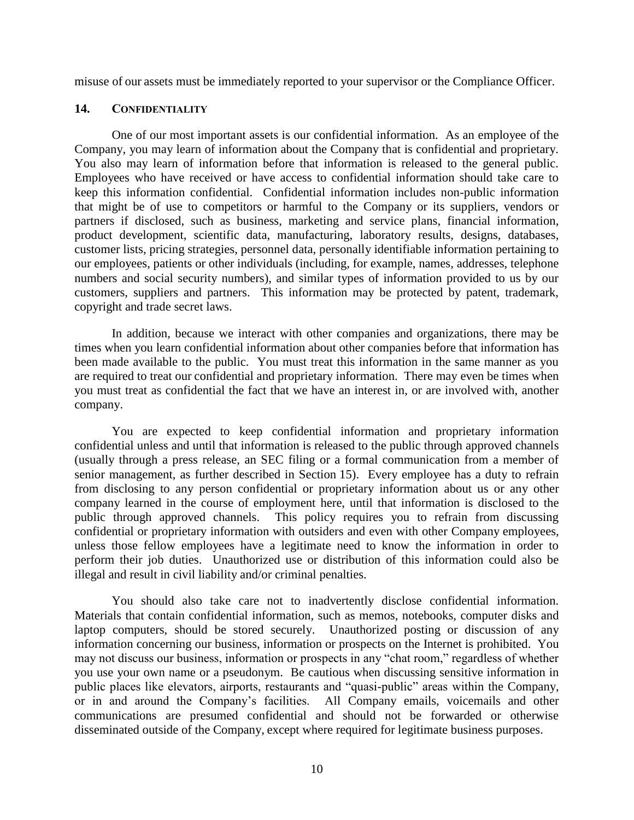misuse of our assets must be immediately reported to your supervisor or the Compliance Officer.

## **14. CONFIDENTIALITY**

One of our most important assets is our confidential information. As an employee of the Company, you may learn of information about the Company that is confidential and proprietary. You also may learn of information before that information is released to the general public. Employees who have received or have access to confidential information should take care to keep this information confidential. Confidential information includes non-public information that might be of use to competitors or harmful to the Company or its suppliers, vendors or partners if disclosed, such as business, marketing and service plans, financial information, product development, scientific data, manufacturing, laboratory results, designs, databases, customer lists, pricing strategies, personnel data, personally identifiable information pertaining to our employees, patients or other individuals (including, for example, names, addresses, telephone numbers and social security numbers), and similar types of information provided to us by our customers, suppliers and partners. This information may be protected by patent, trademark, copyright and trade secret laws.

In addition, because we interact with other companies and organizations, there may be times when you learn confidential information about other companies before that information has been made available to the public. You must treat this information in the same manner as you are required to treat our confidential and proprietary information. There may even be times when you must treat as confidential the fact that we have an interest in, or are involved with, another company.

You are expected to keep confidential information and proprietary information confidential unless and until that information is released to the public through approved channels (usually through a press release, an SEC filing or a formal communication from a member of senior management, as further described in Section 15). Every employee has a duty to refrain from disclosing to any person confidential or proprietary information about us or any other company learned in the course of employment here, until that information is disclosed to the public through approved channels. This policy requires you to refrain from discussing confidential or proprietary information with outsiders and even with other Company employees, unless those fellow employees have a legitimate need to know the information in order to perform their job duties. Unauthorized use or distribution of this information could also be illegal and result in civil liability and/or criminal penalties.

You should also take care not to inadvertently disclose confidential information. Materials that contain confidential information, such as memos, notebooks, computer disks and laptop computers, should be stored securely. Unauthorized posting or discussion of any information concerning our business, information or prospects on the Internet is prohibited. You may not discuss our business, information or prospects in any "chat room," regardless of whether you use your own name or a pseudonym. Be cautious when discussing sensitive information in public places like elevators, airports, restaurants and "quasi-public" areas within the Company, or in and around the Company's facilities. All Company emails, voicemails and other communications are presumed confidential and should not be forwarded or otherwise disseminated outside of the Company, except where required for legitimate business purposes.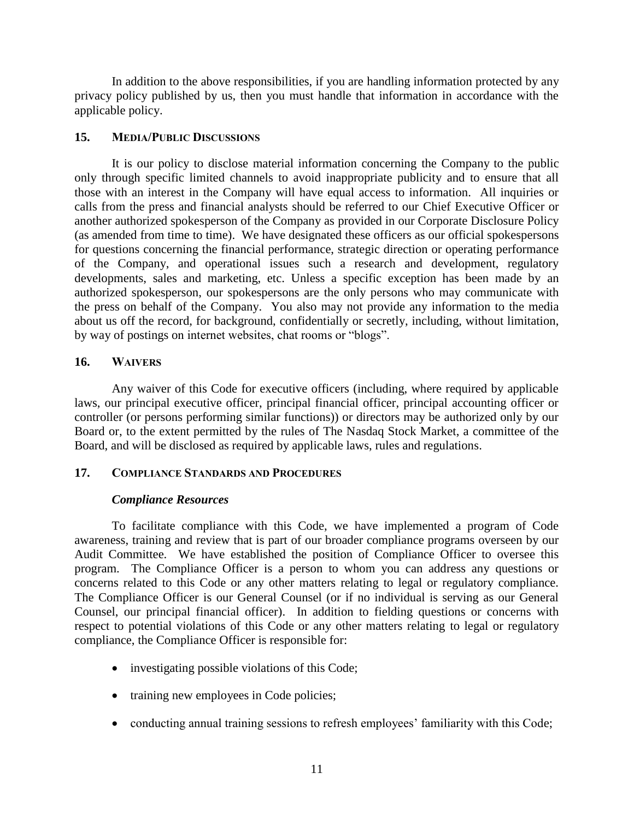In addition to the above responsibilities, if you are handling information protected by any privacy policy published by us, then you must handle that information in accordance with the applicable policy.

## **15. MEDIA/PUBLIC DISCUSSIONS**

It is our policy to disclose material information concerning the Company to the public only through specific limited channels to avoid inappropriate publicity and to ensure that all those with an interest in the Company will have equal access to information. All inquiries or calls from the press and financial analysts should be referred to our Chief Executive Officer or another authorized spokesperson of the Company as provided in our Corporate Disclosure Policy (as amended from time to time). We have designated these officers as our official spokespersons for questions concerning the financial performance, strategic direction or operating performance of the Company, and operational issues such a research and development, regulatory developments, sales and marketing, etc. Unless a specific exception has been made by an authorized spokesperson, our spokespersons are the only persons who may communicate with the press on behalf of the Company. You also may not provide any information to the media about us off the record, for background, confidentially or secretly, including, without limitation, by way of postings on internet websites, chat rooms or "blogs".

## **16. WAIVERS**

Any waiver of this Code for executive officers (including, where required by applicable laws, our principal executive officer, principal financial officer, principal accounting officer or controller (or persons performing similar functions)) or directors may be authorized only by our Board or, to the extent permitted by the rules of The Nasdaq Stock Market, a committee of the Board, and will be disclosed as required by applicable laws, rules and regulations.

## **17. COMPLIANCE STANDARDS AND PROCEDURES**

## *Compliance Resources*

To facilitate compliance with this Code, we have implemented a program of Code awareness, training and review that is part of our broader compliance programs overseen by our Audit Committee. We have established the position of Compliance Officer to oversee this program. The Compliance Officer is a person to whom you can address any questions or concerns related to this Code or any other matters relating to legal or regulatory compliance. The Compliance Officer is our General Counsel (or if no individual is serving as our General Counsel, our principal financial officer). In addition to fielding questions or concerns with respect to potential violations of this Code or any other matters relating to legal or regulatory compliance, the Compliance Officer is responsible for:

- investigating possible violations of this Code;
- training new employees in Code policies;
- conducting annual training sessions to refresh employees' familiarity with this Code;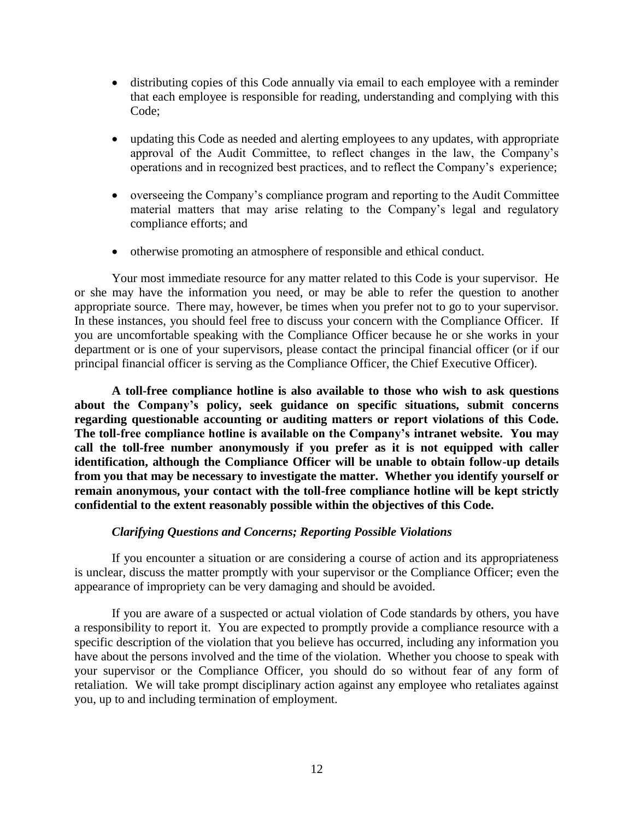- distributing copies of this Code annually via email to each employee with a reminder that each employee is responsible for reading, understanding and complying with this Code;
- updating this Code as needed and alerting employees to any updates, with appropriate approval of the Audit Committee, to reflect changes in the law, the Company's operations and in recognized best practices, and to reflect the Company's experience;
- overseeing the Company's compliance program and reporting to the Audit Committee material matters that may arise relating to the Company's legal and regulatory compliance efforts; and
- otherwise promoting an atmosphere of responsible and ethical conduct.

Your most immediate resource for any matter related to this Code is your supervisor. He or she may have the information you need, or may be able to refer the question to another appropriate source. There may, however, be times when you prefer not to go to your supervisor. In these instances, you should feel free to discuss your concern with the Compliance Officer. If you are uncomfortable speaking with the Compliance Officer because he or she works in your department or is one of your supervisors, please contact the principal financial officer (or if our principal financial officer is serving as the Compliance Officer, the Chief Executive Officer).

**A toll-free compliance hotline is also available to those who wish to ask questions about the Company's policy, seek guidance on specific situations, submit concerns regarding questionable accounting or auditing matters or report violations of this Code. The toll-free compliance hotline is available on the Company's intranet website. You may call the toll-free number anonymously if you prefer as it is not equipped with caller identification, although the Compliance Officer will be unable to obtain follow-up details from you that may be necessary to investigate the matter. Whether you identify yourself or remain anonymous, your contact with the toll-free compliance hotline will be kept strictly confidential to the extent reasonably possible within the objectives of this Code.**

## *Clarifying Questions and Concerns; Reporting Possible Violations*

If you encounter a situation or are considering a course of action and its appropriateness is unclear, discuss the matter promptly with your supervisor or the Compliance Officer; even the appearance of impropriety can be very damaging and should be avoided.

If you are aware of a suspected or actual violation of Code standards by others, you have a responsibility to report it. You are expected to promptly provide a compliance resource with a specific description of the violation that you believe has occurred, including any information you have about the persons involved and the time of the violation. Whether you choose to speak with your supervisor or the Compliance Officer, you should do so without fear of any form of retaliation. We will take prompt disciplinary action against any employee who retaliates against you, up to and including termination of employment.